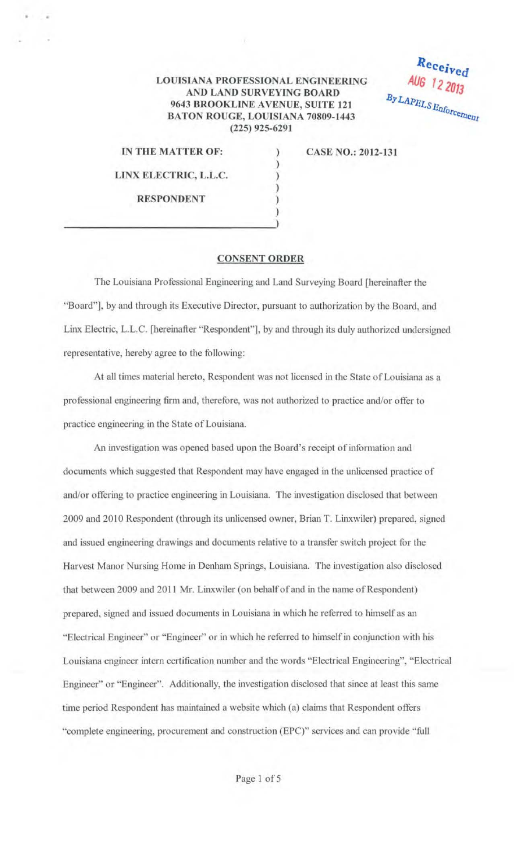## **LOUISIANA PROFESSIONAL ENGINEERING AND LAND SURVEYING BOARD 9643 BROOKLINE AVENUE, SUITE 121 BATON ROUGE, LOUISIANA 70809-1443 (225) 925-6291**

) ) ) ) )

Received AUG 12 2013 By LAPELS Enforcement

**IN THE MATTER OF:** 

**CASE NO.: 2012-131** 

**LINX ELECTRIC, L.L.C. RESPONDENT** 

) and the contract of the contract of  $\mathcal{L}$ 

## **CONSENT ORDER**

The Louisiana Professional Engineering and Land Surveying Board [hereinafter the "Board"], by and through its Executive Director, pursuant to authorization by the Board, and Linx Electric, L.L.C. [hereinafter "Respondent"], by and through its duly authorized undersigned representative, hereby agree to the following:

At all times material hereto, Respondent was not licensed in the State of Louisiana as a professional engineering firm and, therefore, was not authorized to practice and/or offer to practice engineering in the State of Louisiana.

An investigation was opened based upon the Board's receipt of information and documents which suggested that Respondent may have engaged in the unlicensed practice of and/or offering to practice engineering in Louisiana. The investigation disclosed that between 2009 and 2010 Respondent (through its unlicensed owner, Brian T. Linxwiler) prepared, signed and issued engineering drawings and docwnents relative to a transfer switch project for the Harvest Manor Nursing Home in Denham Springs, Louisiana. The investigation also disclosed that between 2009 and 2011 Mr. Linxwiler (on behalf of and in the name of Respondent) prepared, signed and issued documents in Louisiana in which he referred to himself as an "Electrical Engineer" or "Engineer" or in which he referred to himself in conjunction with his Louisiana engineer intem certification number and the words "Electrical Engineering", "Electrical Engineer" or "Engineer". Additionally, the investigation disclosed that since at least this same time period Respondent has maintained a website which (a) claims that Respondent offers "complete engineering, procurement and construction (EPC)" services and can provide "full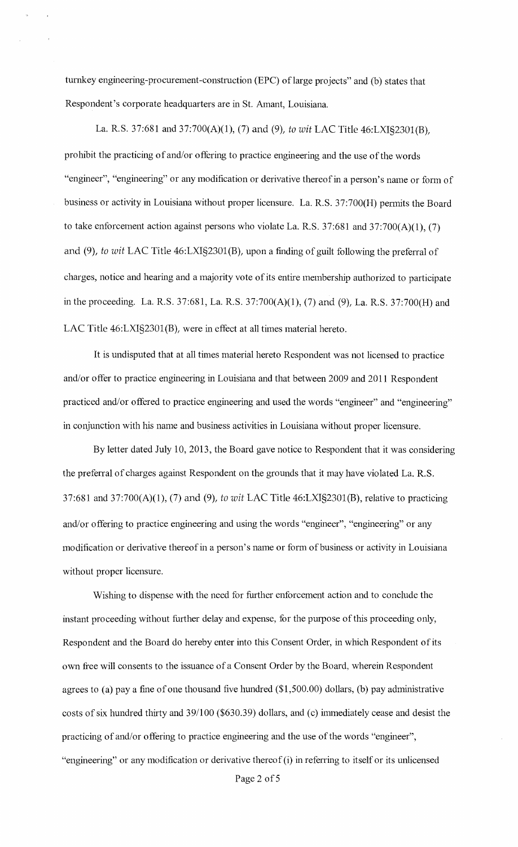turnkey engineering-procurement-construction (EPC) of large projects" and (b) states that Respondent's corporate headquarters are in St. Amant, Louisiana.

La. R.S. 37:681 and 37:700(A)(1), (7) and (9), *to wit* LAC Title 46:LXI§2301(B), prohibit the practicing of and/or offering to practice engineering and the use of the words "engineer", "engineering" or any modification or derivative thereof in a person's name or fonn of business or activity in Louisiana without proper licensure. La. R.S. 37:700(H) pennits the Board to take enforcement action against persons who violate La. R.S.  $37:681$  and  $37:700(A)(1)$ , (7) and (9), *to wit* LAC Title 46:LXI§2301(B), upon a finding of guilt following the preferral of charges, notice and hearing and a majority vote of its entire membership authorized to participate in the proceeding. La. R.S. 37:681, La. R.S. 37:700(A)(1), (7) and (9), La. R.S. 37:700(H) and LAC Title 46:LXI§2301(B), were in effect at all times material hereto.

It is undisputed that at all times material hereto Respondent was not licensed to practice and/or offer to practice engineering in Louisiana and that between 2009 and 2011 Respondent practiced and/or offered to practice engineering and used the words "engineer" and "engineering" in conjunction with his name and business activities in Louisiana without proper licensure.

By letter dated July 10, 2013, the Board gave notice to Respondent that it was considering the preferral of charges against Respondent on the grounds that it may have violated La. R.S. 37:681 and 37:700(A)(1), (7) and (9), *to wit* LAC Title 46:LXI§2301(B), relative to practicing and/or offering to practice engineering and using the words "engineer", "engineering" or any modification or derivative thereof in a person's name or form of business or activity in Louisiana without proper licensure.

Wishing to dispense with the need for further enforcement action and to conclude the instant proceeding without further delay and expense, for the purpose of this proceeding only, Respondent and the Board do hereby enter into this Consent Order, in which Respondent of its own free will consents to the issuance of a Consent Order by the Board, wherein Respondent agrees to (a) pay a fine of one thousand five hundred  $(\$1,500.00)$  dollars, (b) pay administrative costs of six hundred thirty and 39/100 (\$630.39) dollars, and (c) immediately cease and desist the practicing of and/or offering to practice engineering and the use of the words "engineer", "engineering" or any modification or derivative thereof  $(i)$  in referring to itself or its unlicensed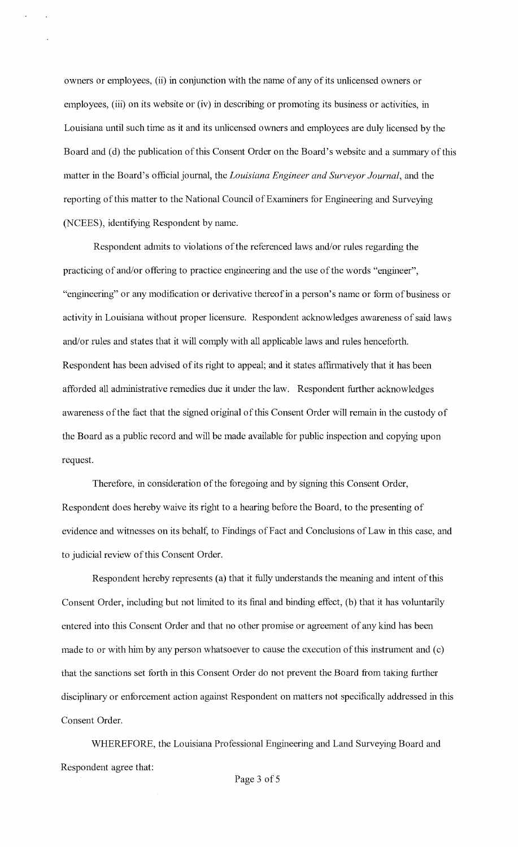owners or employees, (ii) in conjunction with the name of any of its unlicensed owners or employees, (iii) on its website or (iv) in describing or promoting its business or activities, in Louisiana until such time as it and its unlicensed owners and employees are duly licensed by the Board and (d) the publication of this Consent Order on the Board's website and a summary of this matter in the Board's official journal, the *Louisiana Engineer and Surveyor Journal,* and the reporting of this matter to the National Council of Examiners for Engineering and Surveying (NCEES), identifying Respondent by name.

Respondent admits to violations of the referenced laws and/or rules regarding the practicing of and/or offering to practice engineering and the use of the words "engineer", "engineering" or any modification or derivative thereof in a person's name or form of business or activity in Louisiana without proper licensure. Respondent acknowledges awareness of said laws and/or rules and states that it will comply with all applicable laws and rules henceforth. Respondent has been advised of its right to appeal; and it states affirmatively that it has been afforded all administrative remedies due it under the law. Respondent further acknowledges awareness ofthe fact that the signed original of this Consent Order will remain in the custody of the Board as a public record and will be made available for public inspection and copying upon request.

Therefore, in consideration of the foregoing and by signing this Consent Order, Respondent does hereby waive its right to a hearing before the Board, to the presenting of evidence and witnesses on its behalf, to Findings of Fact and Conclusions of Law in this case, and to judicial review of this Consent Order.

Respondent hereby represents (a) that it fully understands the meaning and intent of this Consent Order, including but not limited to its final and binding effect, (b) that it has voluntarily entered into this Consent Order and that no other promise or agreement of any kind has been made to or with him by any person whatsoever to cause the execution of this instrument and  $(c)$ that the sanctions set forth in this Consent Order do not prevent the Board from taking further disciplinary or enforcement action against Respondent on matters not specifically addressed in this Consent Order.

WHEREFORE, the Louisiana Professional Engineering and Land Surveying Board and Respondent agree that: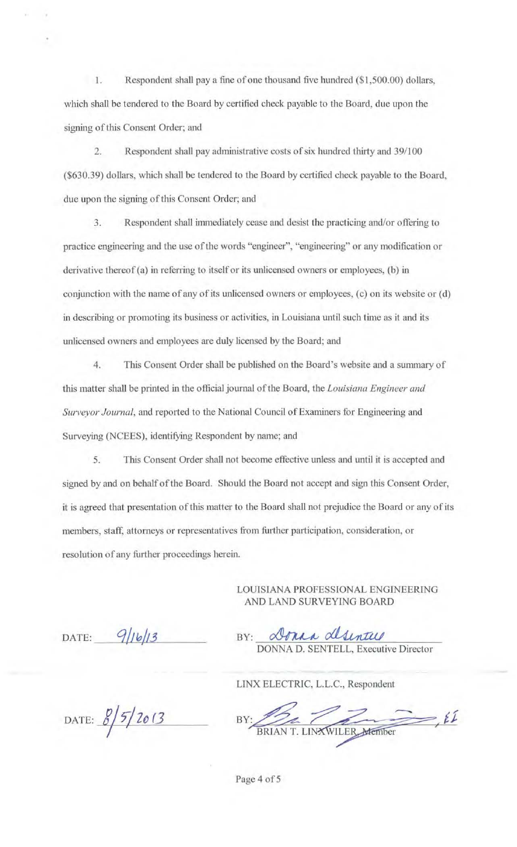1. Respondent shall pay a fine of one thousand five hundred (\$1 ,500.00) dollars, which shall be tendered to the Board by certified check payable to the Board, due upon the signing of this Consent Order; and

2. Respondent shall pay administrative costs of six hundred thirty and 39/100 (\$630.39) dollars, which shall be tendered to the Board by certified check payable to the Board, due upon the signing of this Consent Order; and

3. Respondent shall immediately cease and desist the practicing and/or offering to practice engineering and the use of the words "engineer", "engineering" or any modification or derivative thereof (a) in referring to itself or its unlicensed owners or employees, (b) in conjunction with the name of any of its unlicensed owners or employees, (c) on its website or (d) in describing or promoting its business or activities, in Louisiana until such time as it and its unlicensed owners and employees are duly licensed by the Board; and

4. This Consent Order shall be published on the Board's website and a summary of this matter shall be printed in the official journal of the Board, the *Louisiana Engineer and Surveyor Journal,* and reported to the National Council of Examiners for Engineering and Surveying (NCEES), identifying Respondent by name; and

5. This Consent Order shall not become effective unless and until it is accepted and signed by and on behalf of the Board. Should the Board not accept and sign this Consent Order, it is agreed that presentation of this matter to the Board shall not prejudice the Board or any of its members, staff, attorneys or representatives from further participation, consideration, or resolution of any further proceedings herein.

> LOUISIANA PROFESSIONAL ENGINEERING AND LAND SURVEYING BOARD

DATE: 9/16/13

Dona desintus  $BY^{\dagger}$ DONNA D. SENTELL, Executive Director

LINX ELECTRIC, L.L.C., Respondent

DATE:  $\frac{8}{5}/\frac{2013}{5}$ 

BY: NX ELECTRIC, L.L.C., Respondent<br> $R_{\text{BRIAN T. LINKWILER} \text{ \textit{Afermber}}} \sim \frac{\mathcal{L}L}{\mathcal{L}}$ 

Page 4 of 5